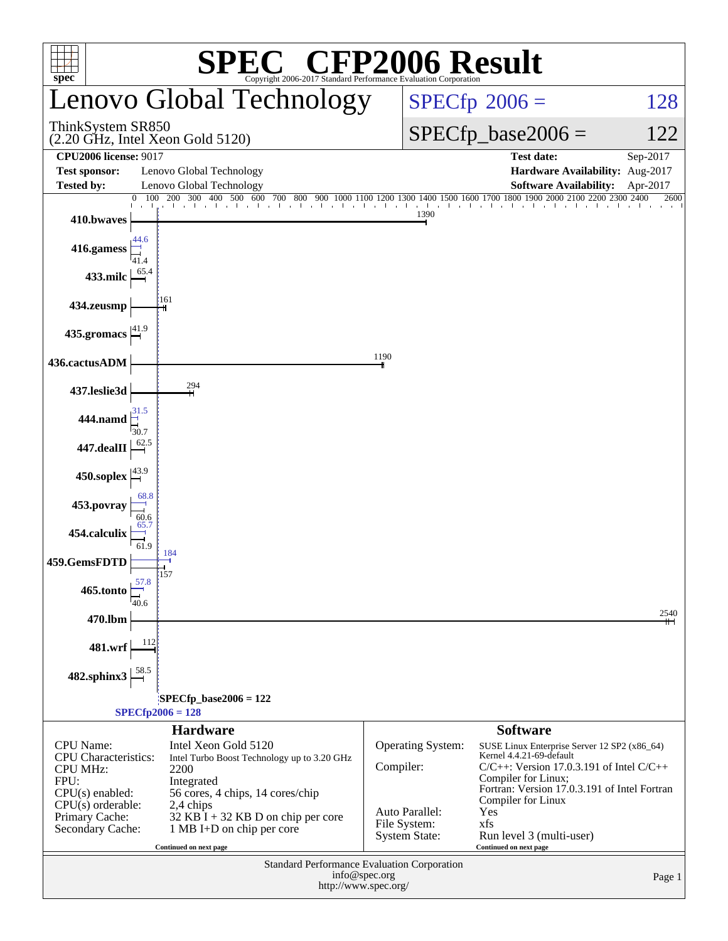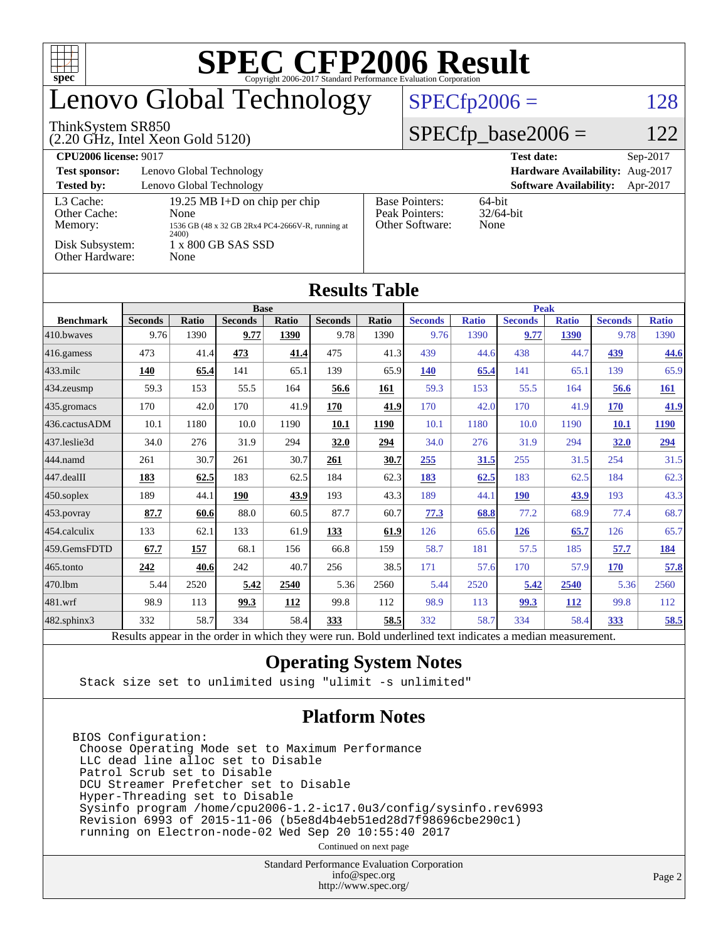| ŦП<br>$spec^*$                                                                                                                             |                                                                                            |                        |      |      |      |               |                                                                                           |              |                               |              |                |              |  |
|--------------------------------------------------------------------------------------------------------------------------------------------|--------------------------------------------------------------------------------------------|------------------------|------|------|------|---------------|-------------------------------------------------------------------------------------------|--------------|-------------------------------|--------------|----------------|--------------|--|
| <b>Lenovo Global Technology</b>                                                                                                            |                                                                                            |                        |      |      |      |               | $SPECfp2006 =$<br>128                                                                     |              |                               |              |                |              |  |
| ThinkSystem SR850<br>$(2.20 \text{ GHz}, \text{Intel Xeon Gold } 5120)$                                                                    |                                                                                            |                        |      |      |      |               | $SPECfp\_base2006 =$<br>122                                                               |              |                               |              |                |              |  |
| <b>CPU2006</b> license: 9017                                                                                                               |                                                                                            | Sep-2017<br>Test date: |      |      |      |               |                                                                                           |              |                               |              |                |              |  |
| Lenovo Global Technology<br>Hardware Availability: Aug-2017<br><b>Test sponsor:</b>                                                        |                                                                                            |                        |      |      |      |               |                                                                                           |              |                               |              |                |              |  |
| Lenovo Global Technology<br><b>Software Availability:</b><br><b>Tested by:</b><br>Apr-2017                                                 |                                                                                            |                        |      |      |      |               |                                                                                           |              |                               |              |                |              |  |
| L3 Cache:<br>19.25 MB I+D on chip per chip<br>Other Cache:<br>None<br>Memory:<br>1536 GB (48 x 32 GB 2Rx4 PC4-2666V-R, running at<br>2400) |                                                                                            |                        |      |      |      |               | 64-bit<br><b>Base Pointers:</b><br>Peak Pointers:<br>32/64-bit<br>Other Software:<br>None |              |                               |              |                |              |  |
| Disk Subsystem:<br>1 x 800 GB SAS SSD<br>Other Hardware:<br>None                                                                           |                                                                                            |                        |      |      |      |               |                                                                                           |              |                               |              |                |              |  |
| <b>Results Table</b>                                                                                                                       |                                                                                            |                        |      |      |      |               |                                                                                           |              |                               |              |                |              |  |
| <b>Benchmark</b>                                                                                                                           | <b>Base</b><br><b>Seconds</b><br><b>Ratio</b><br><b>Seconds</b><br>Ratio<br><b>Seconds</b> |                        |      |      |      |               | <b>Seconds</b>                                                                            | <b>Ratio</b> | <b>Peak</b><br><b>Seconds</b> | <b>Ratio</b> | <b>Seconds</b> | <b>Ratio</b> |  |
| 410.bwayes                                                                                                                                 | 9.76                                                                                       | 1390                   | 9.77 | 1390 | 9.78 | Ratio<br>1390 | 9.76                                                                                      | 1390         | 9.77                          | 1390         | 9.78           | 1390         |  |
| 416.gamess                                                                                                                                 | 473                                                                                        | 41.4                   | 473  | 41.4 | 475  | 41.3          | 439                                                                                       | 44.6         | 438                           | 44.7         | 439            | 44.6         |  |
| $433$ .milc                                                                                                                                | 140                                                                                        | 65.4                   | 141  | 65.1 | 139  | 65.9          | <b>140</b>                                                                                | 65.4         | 141                           | 65.1         | 139            | 65.9         |  |
| 434.zeusmp                                                                                                                                 | 59.3                                                                                       | 153                    | 55.5 | 164  | 56.6 | 161           | 59.3                                                                                      | 153          | 55.5                          | 164          | 56.6           | 161          |  |
| 435.gromacs                                                                                                                                | 170                                                                                        | 42.0                   | 170  | 41.9 | 170  | 41.9          | 170                                                                                       | 42.0         | 170                           | 41.9         | 170            | 41.9         |  |
| 436.cactusADM                                                                                                                              | 10.1                                                                                       | 1180                   | 10.0 | 1190 | 10.1 | 1190          | 10.1                                                                                      | 1180         | 10.0                          | 1190         | <b>10.1</b>    | 1190         |  |
| 437.leslie3d                                                                                                                               | 34.0                                                                                       | 276                    | 31.9 | 294  | 32.0 | 294           | 34.0                                                                                      | 276          | 31.9                          | 294          | 32.0           | 294          |  |
| 444.namd                                                                                                                                   | 261                                                                                        | 30.7                   | 261  | 30.7 | 261  | 30.7          | 255                                                                                       | 31.5         | 255                           | 31.5         | 254            | 31.5         |  |
| 447.dealII                                                                                                                                 | 183                                                                                        | 62.5                   | 183  | 62.5 | 184  | 62.3          | 183                                                                                       | 62.5         | 183                           | 62.5         | 184            | 62.3         |  |
| 450.soplex                                                                                                                                 | 189                                                                                        | 44.1                   | 190  | 43.9 | 193  | 43.3          | 189                                                                                       | 44.1         | 190                           | 43.9         | 193            | 43.3         |  |
| 453.povray                                                                                                                                 | 87.7                                                                                       | 60.6                   | 88.0 | 60.5 | 87.7 | 60.7          | 77.3                                                                                      | 68.8         | 77.2                          | 68.9         | 77.4           | 68.7         |  |
| 454.calculix                                                                                                                               | 133                                                                                        | 62.1                   | 133  | 61.9 | 133  | 61.9          | 126                                                                                       | 65.6         | 126                           | 65.7         | 126            | 65.7         |  |
| 459.GemsFDTD                                                                                                                               | 67.7                                                                                       | 157                    | 68.1 | 156  | 66.8 | 159           | 58.7                                                                                      | 181          | 57.5                          | 185          | 57.7           | 184          |  |
| 465.tonto                                                                                                                                  | 242                                                                                        | 40.6                   | 242  | 40.7 | 256  | 38.5          | 171                                                                                       | 57.6         | 170                           | 57.9         | 170            | 57.8         |  |
| 470.1bm                                                                                                                                    | 5.44                                                                                       | 2520                   | 5.42 | 2540 | 5.36 | 2560          | 5.44                                                                                      | 2520         | 5.42                          | 2540         | 5.36           | 2560         |  |
| 481.wrf                                                                                                                                    | 98.9                                                                                       | 113                    | 99.3 | 112  | 99.8 | 112           | 98.9                                                                                      | 113          | 99.3                          | 112          | 99.8           | 112          |  |
| 482.sphinx3                                                                                                                                | 332                                                                                        | 58.7                   | 334  | 58.4 | 333  | 58.5          | 332                                                                                       | 58.7         | 334                           | 58.4         | 333            | 58.5         |  |

Results appear in the [order in which they were run.](http://www.spec.org/auto/cpu2006/Docs/result-fields.html#RunOrder) Bold underlined text [indicates a median measurement.](http://www.spec.org/auto/cpu2006/Docs/result-fields.html#Median)

#### **[Operating System Notes](http://www.spec.org/auto/cpu2006/Docs/result-fields.html#OperatingSystemNotes)**

Stack size set to unlimited using "ulimit -s unlimited"

#### **[Platform Notes](http://www.spec.org/auto/cpu2006/Docs/result-fields.html#PlatformNotes)**

BIOS Configuration: Choose Operating Mode set to Maximum Performance LLC dead line alloc set to Disable Patrol Scrub set to Disable DCU Streamer Prefetcher set to Disable Hyper-Threading set to Disable Sysinfo program /home/cpu2006-1.2-ic17.0u3/config/sysinfo.rev6993 Revision 6993 of 2015-11-06 (b5e8d4b4eb51ed28d7f98696cbe290c1) running on Electron-node-02 Wed Sep 20 10:55:40 2017

Continued on next page

Standard Performance Evaluation Corporation [info@spec.org](mailto:info@spec.org) <http://www.spec.org/>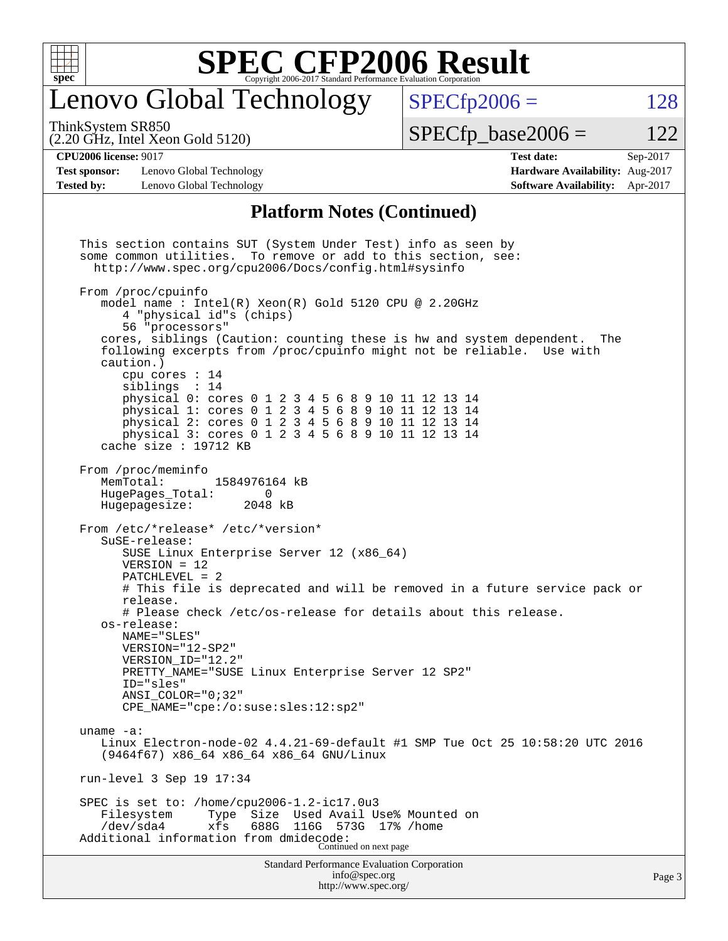

#### enovo Global Technology

ThinkSystem SR850

(2.20 GHz, Intel Xeon Gold 5120)

 $SPECTp2006 = 128$ 

 $SPECTp\_base2006 = 122$ 

#### **[CPU2006 license:](http://www.spec.org/auto/cpu2006/Docs/result-fields.html#CPU2006license)** 9017 **[Test date:](http://www.spec.org/auto/cpu2006/Docs/result-fields.html#Testdate)** Sep-2017

**[Test sponsor:](http://www.spec.org/auto/cpu2006/Docs/result-fields.html#Testsponsor)** Lenovo Global Technology **[Hardware Availability:](http://www.spec.org/auto/cpu2006/Docs/result-fields.html#HardwareAvailability)** Aug-2017 **[Tested by:](http://www.spec.org/auto/cpu2006/Docs/result-fields.html#Testedby)** Lenovo Global Technology **[Software Availability:](http://www.spec.org/auto/cpu2006/Docs/result-fields.html#SoftwareAvailability)** Apr-2017

### **[Platform Notes \(Continued\)](http://www.spec.org/auto/cpu2006/Docs/result-fields.html#PlatformNotes)**

Standard Performance Evaluation Corporation [info@spec.org](mailto:info@spec.org) This section contains SUT (System Under Test) info as seen by some common utilities. To remove or add to this section, see: <http://www.spec.org/cpu2006/Docs/config.html#sysinfo> From /proc/cpuinfo model name : Intel(R) Xeon(R) Gold 5120 CPU @ 2.20GHz 4 "physical id"s (chips) 56 "processors" cores, siblings (Caution: counting these is hw and system dependent. The following excerpts from /proc/cpuinfo might not be reliable. Use with caution.) cpu cores : 14 siblings : 14 physical 0: cores 0 1 2 3 4 5 6 8 9 10 11 12 13 14 physical 1: cores 0 1 2 3 4 5 6 8 9 10 11 12 13 14 physical 2: cores 0 1 2 3 4 5 6 8 9 10 11 12 13 14 physical 3: cores 0 1 2 3 4 5 6 8 9 10 11 12 13 14 cache size : 19712 KB From /proc/meminfo MemTotal: 1584976164 kB HugePages\_Total: 0 Hugepagesize: 2048 kB From /etc/\*release\* /etc/\*version\* SuSE-release: SUSE Linux Enterprise Server 12 (x86\_64) VERSION = 12 PATCHLEVEL = 2 # This file is deprecated and will be removed in a future service pack or release. # Please check /etc/os-release for details about this release. os-release: NAME="SLES" VERSION="12-SP2" VERSION\_ID="12.2" PRETTY\_NAME="SUSE Linux Enterprise Server 12 SP2" ID="sles" ANSI\_COLOR="0;32" CPE\_NAME="cpe:/o:suse:sles:12:sp2" uname -a: Linux Electron-node-02 4.4.21-69-default #1 SMP Tue Oct 25 10:58:20 UTC 2016 (9464f67) x86\_64 x86\_64 x86\_64 GNU/Linux run-level 3 Sep 19 17:34 SPEC is set to: /home/cpu2006-1.2-ic17.0u3<br>Filesystem Type Size Used Avail U Used Avail Use% Mounted on /dev/sda4 xfs 688G 116G 573G 17% /home Additional information from dmidecode: Continued on next page

<http://www.spec.org/>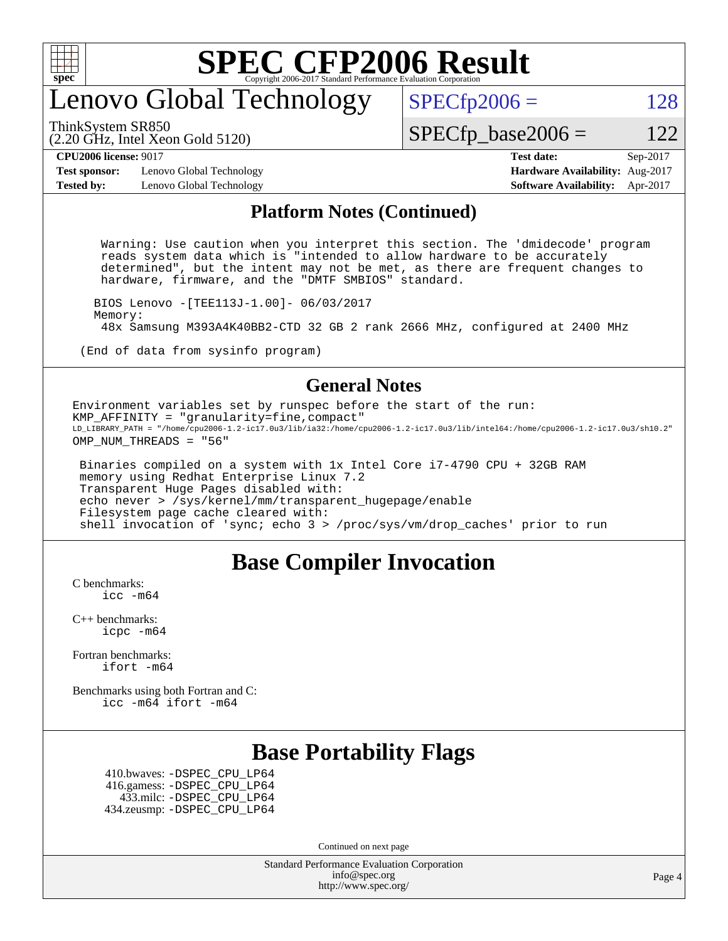

#### enovo Global Technology

ThinkSystem SR850

(2.20 GHz, Intel Xeon Gold 5120)

 $SPECTp2006 = 128$ 

 $SPECTp\_base2006 = 122$ 

**[Test sponsor:](http://www.spec.org/auto/cpu2006/Docs/result-fields.html#Testsponsor)** Lenovo Global Technology **[Hardware Availability:](http://www.spec.org/auto/cpu2006/Docs/result-fields.html#HardwareAvailability)** Aug-2017 **[Tested by:](http://www.spec.org/auto/cpu2006/Docs/result-fields.html#Testedby)** Lenovo Global Technology **[Software Availability:](http://www.spec.org/auto/cpu2006/Docs/result-fields.html#SoftwareAvailability)** Apr-2017

# **[CPU2006 license:](http://www.spec.org/auto/cpu2006/Docs/result-fields.html#CPU2006license)** 9017 **[Test date:](http://www.spec.org/auto/cpu2006/Docs/result-fields.html#Testdate)** Sep-2017

#### **[Platform Notes \(Continued\)](http://www.spec.org/auto/cpu2006/Docs/result-fields.html#PlatformNotes)**

 Warning: Use caution when you interpret this section. The 'dmidecode' program reads system data which is "intended to allow hardware to be accurately determined", but the intent may not be met, as there are frequent changes to hardware, firmware, and the "DMTF SMBIOS" standard.

 BIOS Lenovo -[TEE113J-1.00]- 06/03/2017 Memory: 48x Samsung M393A4K40BB2-CTD 32 GB 2 rank 2666 MHz, configured at 2400 MHz

(End of data from sysinfo program)

#### **[General Notes](http://www.spec.org/auto/cpu2006/Docs/result-fields.html#GeneralNotes)**

Environment variables set by runspec before the start of the run: KMP\_AFFINITY = "granularity=fine,compact" LD\_LIBRARY\_PATH = "/home/cpu2006-1.2-ic17.0u3/lib/ia32:/home/cpu2006-1.2-ic17.0u3/lib/intel64:/home/cpu2006-1.2-ic17.0u3/sh10.2" OMP\_NUM\_THREADS = "56"

 Binaries compiled on a system with 1x Intel Core i7-4790 CPU + 32GB RAM memory using Redhat Enterprise Linux 7.2 Transparent Huge Pages disabled with: echo never > /sys/kernel/mm/transparent\_hugepage/enable Filesystem page cache cleared with: shell invocation of 'sync; echo 3 > /proc/sys/vm/drop\_caches' prior to run

#### **[Base Compiler Invocation](http://www.spec.org/auto/cpu2006/Docs/result-fields.html#BaseCompilerInvocation)**

[C benchmarks](http://www.spec.org/auto/cpu2006/Docs/result-fields.html#Cbenchmarks): icc  $-m64$ 

[C++ benchmarks:](http://www.spec.org/auto/cpu2006/Docs/result-fields.html#CXXbenchmarks) [icpc -m64](http://www.spec.org/cpu2006/results/res2017q4/cpu2006-20171211-51096.flags.html#user_CXXbase_intel_icpc_64bit_fc66a5337ce925472a5c54ad6a0de310)

[Fortran benchmarks](http://www.spec.org/auto/cpu2006/Docs/result-fields.html#Fortranbenchmarks): [ifort -m64](http://www.spec.org/cpu2006/results/res2017q4/cpu2006-20171211-51096.flags.html#user_FCbase_intel_ifort_64bit_ee9d0fb25645d0210d97eb0527dcc06e)

[Benchmarks using both Fortran and C](http://www.spec.org/auto/cpu2006/Docs/result-fields.html#BenchmarksusingbothFortranandC): [icc -m64](http://www.spec.org/cpu2006/results/res2017q4/cpu2006-20171211-51096.flags.html#user_CC_FCbase_intel_icc_64bit_bda6cc9af1fdbb0edc3795bac97ada53) [ifort -m64](http://www.spec.org/cpu2006/results/res2017q4/cpu2006-20171211-51096.flags.html#user_CC_FCbase_intel_ifort_64bit_ee9d0fb25645d0210d97eb0527dcc06e)

#### **[Base Portability Flags](http://www.spec.org/auto/cpu2006/Docs/result-fields.html#BasePortabilityFlags)**

 410.bwaves: [-DSPEC\\_CPU\\_LP64](http://www.spec.org/cpu2006/results/res2017q4/cpu2006-20171211-51096.flags.html#suite_basePORTABILITY410_bwaves_DSPEC_CPU_LP64) 416.gamess: [-DSPEC\\_CPU\\_LP64](http://www.spec.org/cpu2006/results/res2017q4/cpu2006-20171211-51096.flags.html#suite_basePORTABILITY416_gamess_DSPEC_CPU_LP64) 433.milc: [-DSPEC\\_CPU\\_LP64](http://www.spec.org/cpu2006/results/res2017q4/cpu2006-20171211-51096.flags.html#suite_basePORTABILITY433_milc_DSPEC_CPU_LP64) 434.zeusmp: [-DSPEC\\_CPU\\_LP64](http://www.spec.org/cpu2006/results/res2017q4/cpu2006-20171211-51096.flags.html#suite_basePORTABILITY434_zeusmp_DSPEC_CPU_LP64)

Continued on next page

Standard Performance Evaluation Corporation [info@spec.org](mailto:info@spec.org) <http://www.spec.org/>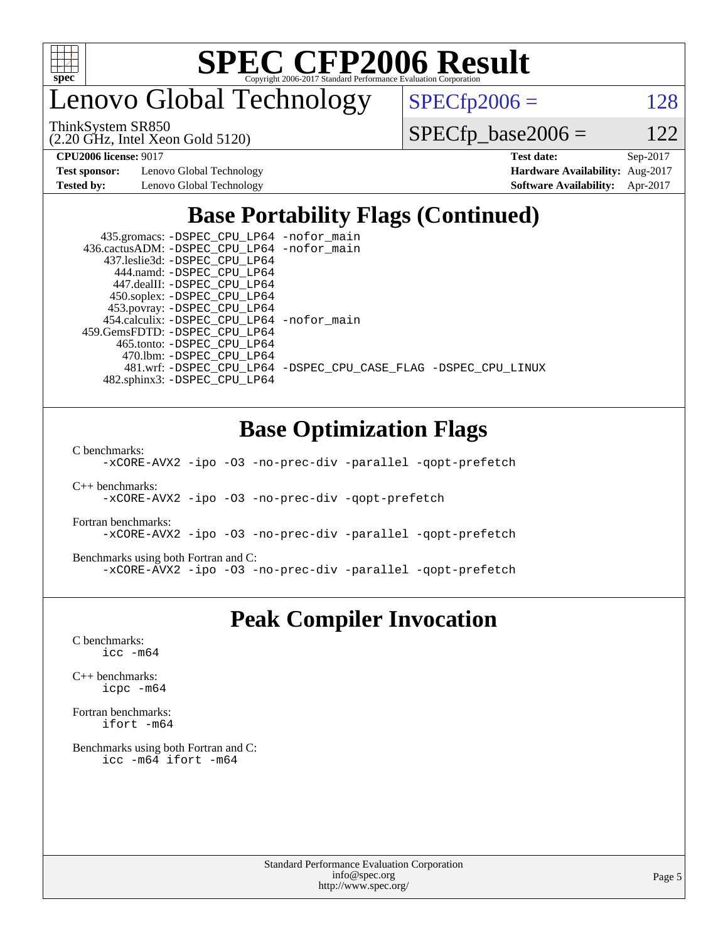

enovo Global Technology

ThinkSystem SR850

(2.20 GHz, Intel Xeon Gold 5120)

 $SPECTp2006 = 128$ 

 $SPECTp\_base2006 = 122$ 

**[Test sponsor:](http://www.spec.org/auto/cpu2006/Docs/result-fields.html#Testsponsor)** Lenovo Global Technology **[Hardware Availability:](http://www.spec.org/auto/cpu2006/Docs/result-fields.html#HardwareAvailability)** Aug-2017

**[CPU2006 license:](http://www.spec.org/auto/cpu2006/Docs/result-fields.html#CPU2006license)** 9017 **[Test date:](http://www.spec.org/auto/cpu2006/Docs/result-fields.html#Testdate)** Sep-2017 **[Tested by:](http://www.spec.org/auto/cpu2006/Docs/result-fields.html#Testedby)** Lenovo Global Technology **[Software Availability:](http://www.spec.org/auto/cpu2006/Docs/result-fields.html#SoftwareAvailability)** Apr-2017

#### **[Base Portability Flags \(Continued\)](http://www.spec.org/auto/cpu2006/Docs/result-fields.html#BasePortabilityFlags)**

 435.gromacs: [-DSPEC\\_CPU\\_LP64](http://www.spec.org/cpu2006/results/res2017q4/cpu2006-20171211-51096.flags.html#suite_basePORTABILITY435_gromacs_DSPEC_CPU_LP64) [-nofor\\_main](http://www.spec.org/cpu2006/results/res2017q4/cpu2006-20171211-51096.flags.html#user_baseLDPORTABILITY435_gromacs_f-nofor_main) 436.cactusADM: [-DSPEC\\_CPU\\_LP64](http://www.spec.org/cpu2006/results/res2017q4/cpu2006-20171211-51096.flags.html#suite_basePORTABILITY436_cactusADM_DSPEC_CPU_LP64) [-nofor\\_main](http://www.spec.org/cpu2006/results/res2017q4/cpu2006-20171211-51096.flags.html#user_baseLDPORTABILITY436_cactusADM_f-nofor_main) 437.leslie3d: [-DSPEC\\_CPU\\_LP64](http://www.spec.org/cpu2006/results/res2017q4/cpu2006-20171211-51096.flags.html#suite_basePORTABILITY437_leslie3d_DSPEC_CPU_LP64) 444.namd: [-DSPEC\\_CPU\\_LP64](http://www.spec.org/cpu2006/results/res2017q4/cpu2006-20171211-51096.flags.html#suite_basePORTABILITY444_namd_DSPEC_CPU_LP64) 447.dealII: [-DSPEC\\_CPU\\_LP64](http://www.spec.org/cpu2006/results/res2017q4/cpu2006-20171211-51096.flags.html#suite_basePORTABILITY447_dealII_DSPEC_CPU_LP64) 450.soplex: [-DSPEC\\_CPU\\_LP64](http://www.spec.org/cpu2006/results/res2017q4/cpu2006-20171211-51096.flags.html#suite_basePORTABILITY450_soplex_DSPEC_CPU_LP64) 453.povray: [-DSPEC\\_CPU\\_LP64](http://www.spec.org/cpu2006/results/res2017q4/cpu2006-20171211-51096.flags.html#suite_basePORTABILITY453_povray_DSPEC_CPU_LP64) 454.calculix: [-DSPEC\\_CPU\\_LP64](http://www.spec.org/cpu2006/results/res2017q4/cpu2006-20171211-51096.flags.html#suite_basePORTABILITY454_calculix_DSPEC_CPU_LP64) [-nofor\\_main](http://www.spec.org/cpu2006/results/res2017q4/cpu2006-20171211-51096.flags.html#user_baseLDPORTABILITY454_calculix_f-nofor_main) 459.GemsFDTD: [-DSPEC\\_CPU\\_LP64](http://www.spec.org/cpu2006/results/res2017q4/cpu2006-20171211-51096.flags.html#suite_basePORTABILITY459_GemsFDTD_DSPEC_CPU_LP64) 465.tonto: [-DSPEC\\_CPU\\_LP64](http://www.spec.org/cpu2006/results/res2017q4/cpu2006-20171211-51096.flags.html#suite_basePORTABILITY465_tonto_DSPEC_CPU_LP64) 470.lbm: [-DSPEC\\_CPU\\_LP64](http://www.spec.org/cpu2006/results/res2017q4/cpu2006-20171211-51096.flags.html#suite_basePORTABILITY470_lbm_DSPEC_CPU_LP64) 481.wrf: [-DSPEC\\_CPU\\_LP64](http://www.spec.org/cpu2006/results/res2017q4/cpu2006-20171211-51096.flags.html#suite_basePORTABILITY481_wrf_DSPEC_CPU_LP64) [-DSPEC\\_CPU\\_CASE\\_FLAG](http://www.spec.org/cpu2006/results/res2017q4/cpu2006-20171211-51096.flags.html#b481.wrf_baseCPORTABILITY_DSPEC_CPU_CASE_FLAG) [-DSPEC\\_CPU\\_LINUX](http://www.spec.org/cpu2006/results/res2017q4/cpu2006-20171211-51096.flags.html#b481.wrf_baseCPORTABILITY_DSPEC_CPU_LINUX) 482.sphinx3: [-DSPEC\\_CPU\\_LP64](http://www.spec.org/cpu2006/results/res2017q4/cpu2006-20171211-51096.flags.html#suite_basePORTABILITY482_sphinx3_DSPEC_CPU_LP64)

#### **[Base Optimization Flags](http://www.spec.org/auto/cpu2006/Docs/result-fields.html#BaseOptimizationFlags)**

[C benchmarks](http://www.spec.org/auto/cpu2006/Docs/result-fields.html#Cbenchmarks):

[-xCORE-AVX2](http://www.spec.org/cpu2006/results/res2017q4/cpu2006-20171211-51096.flags.html#user_CCbase_f-xCORE-AVX2) [-ipo](http://www.spec.org/cpu2006/results/res2017q4/cpu2006-20171211-51096.flags.html#user_CCbase_f-ipo) [-O3](http://www.spec.org/cpu2006/results/res2017q4/cpu2006-20171211-51096.flags.html#user_CCbase_f-O3) [-no-prec-div](http://www.spec.org/cpu2006/results/res2017q4/cpu2006-20171211-51096.flags.html#user_CCbase_f-no-prec-div) [-parallel](http://www.spec.org/cpu2006/results/res2017q4/cpu2006-20171211-51096.flags.html#user_CCbase_f-parallel) [-qopt-prefetch](http://www.spec.org/cpu2006/results/res2017q4/cpu2006-20171211-51096.flags.html#user_CCbase_f-qopt-prefetch)

[C++ benchmarks:](http://www.spec.org/auto/cpu2006/Docs/result-fields.html#CXXbenchmarks)

[-xCORE-AVX2](http://www.spec.org/cpu2006/results/res2017q4/cpu2006-20171211-51096.flags.html#user_CXXbase_f-xCORE-AVX2) [-ipo](http://www.spec.org/cpu2006/results/res2017q4/cpu2006-20171211-51096.flags.html#user_CXXbase_f-ipo) [-O3](http://www.spec.org/cpu2006/results/res2017q4/cpu2006-20171211-51096.flags.html#user_CXXbase_f-O3) [-no-prec-div](http://www.spec.org/cpu2006/results/res2017q4/cpu2006-20171211-51096.flags.html#user_CXXbase_f-no-prec-div) [-qopt-prefetch](http://www.spec.org/cpu2006/results/res2017q4/cpu2006-20171211-51096.flags.html#user_CXXbase_f-qopt-prefetch)

[Fortran benchmarks](http://www.spec.org/auto/cpu2006/Docs/result-fields.html#Fortranbenchmarks):

[-xCORE-AVX2](http://www.spec.org/cpu2006/results/res2017q4/cpu2006-20171211-51096.flags.html#user_FCbase_f-xCORE-AVX2) [-ipo](http://www.spec.org/cpu2006/results/res2017q4/cpu2006-20171211-51096.flags.html#user_FCbase_f-ipo) [-O3](http://www.spec.org/cpu2006/results/res2017q4/cpu2006-20171211-51096.flags.html#user_FCbase_f-O3) [-no-prec-div](http://www.spec.org/cpu2006/results/res2017q4/cpu2006-20171211-51096.flags.html#user_FCbase_f-no-prec-div) [-parallel](http://www.spec.org/cpu2006/results/res2017q4/cpu2006-20171211-51096.flags.html#user_FCbase_f-parallel) [-qopt-prefetch](http://www.spec.org/cpu2006/results/res2017q4/cpu2006-20171211-51096.flags.html#user_FCbase_f-qopt-prefetch)

[Benchmarks using both Fortran and C](http://www.spec.org/auto/cpu2006/Docs/result-fields.html#BenchmarksusingbothFortranandC):

[-xCORE-AVX2](http://www.spec.org/cpu2006/results/res2017q4/cpu2006-20171211-51096.flags.html#user_CC_FCbase_f-xCORE-AVX2) [-ipo](http://www.spec.org/cpu2006/results/res2017q4/cpu2006-20171211-51096.flags.html#user_CC_FCbase_f-ipo) [-O3](http://www.spec.org/cpu2006/results/res2017q4/cpu2006-20171211-51096.flags.html#user_CC_FCbase_f-O3) [-no-prec-div](http://www.spec.org/cpu2006/results/res2017q4/cpu2006-20171211-51096.flags.html#user_CC_FCbase_f-no-prec-div) [-parallel](http://www.spec.org/cpu2006/results/res2017q4/cpu2006-20171211-51096.flags.html#user_CC_FCbase_f-parallel) [-qopt-prefetch](http://www.spec.org/cpu2006/results/res2017q4/cpu2006-20171211-51096.flags.html#user_CC_FCbase_f-qopt-prefetch)

#### **[Peak Compiler Invocation](http://www.spec.org/auto/cpu2006/Docs/result-fields.html#PeakCompilerInvocation)**

[C benchmarks](http://www.spec.org/auto/cpu2006/Docs/result-fields.html#Cbenchmarks): [icc -m64](http://www.spec.org/cpu2006/results/res2017q4/cpu2006-20171211-51096.flags.html#user_CCpeak_intel_icc_64bit_bda6cc9af1fdbb0edc3795bac97ada53)

[C++ benchmarks:](http://www.spec.org/auto/cpu2006/Docs/result-fields.html#CXXbenchmarks) [icpc -m64](http://www.spec.org/cpu2006/results/res2017q4/cpu2006-20171211-51096.flags.html#user_CXXpeak_intel_icpc_64bit_fc66a5337ce925472a5c54ad6a0de310)

[Fortran benchmarks](http://www.spec.org/auto/cpu2006/Docs/result-fields.html#Fortranbenchmarks): [ifort -m64](http://www.spec.org/cpu2006/results/res2017q4/cpu2006-20171211-51096.flags.html#user_FCpeak_intel_ifort_64bit_ee9d0fb25645d0210d97eb0527dcc06e)

[Benchmarks using both Fortran and C](http://www.spec.org/auto/cpu2006/Docs/result-fields.html#BenchmarksusingbothFortranandC): [icc -m64](http://www.spec.org/cpu2006/results/res2017q4/cpu2006-20171211-51096.flags.html#user_CC_FCpeak_intel_icc_64bit_bda6cc9af1fdbb0edc3795bac97ada53) [ifort -m64](http://www.spec.org/cpu2006/results/res2017q4/cpu2006-20171211-51096.flags.html#user_CC_FCpeak_intel_ifort_64bit_ee9d0fb25645d0210d97eb0527dcc06e)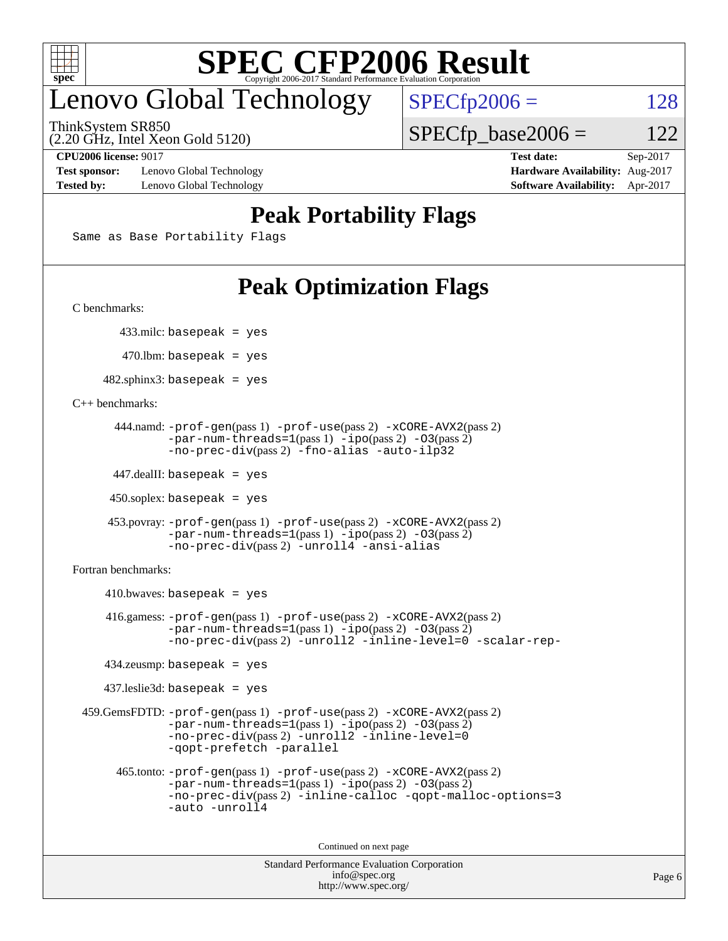

#### enovo Global Technology

ThinkSystem SR850

(2.20 GHz, Intel Xeon Gold 5120)

 $SPECfp2006 = 128$  $SPECfp2006 = 128$  $SPECTp\_base2006 = 122$ 

**[Test sponsor:](http://www.spec.org/auto/cpu2006/Docs/result-fields.html#Testsponsor)** Lenovo Global Technology **[Hardware Availability:](http://www.spec.org/auto/cpu2006/Docs/result-fields.html#HardwareAvailability)** Aug-2017 **[Tested by:](http://www.spec.org/auto/cpu2006/Docs/result-fields.html#Testedby)** Lenovo Global Technology **[Software Availability:](http://www.spec.org/auto/cpu2006/Docs/result-fields.html#SoftwareAvailability)** Apr-2017

**[CPU2006 license:](http://www.spec.org/auto/cpu2006/Docs/result-fields.html#CPU2006license)** 9017 **[Test date:](http://www.spec.org/auto/cpu2006/Docs/result-fields.html#Testdate)** Sep-2017

#### **[Peak Portability Flags](http://www.spec.org/auto/cpu2006/Docs/result-fields.html#PeakPortabilityFlags)**

Same as Base Portability Flags

#### **[Peak Optimization Flags](http://www.spec.org/auto/cpu2006/Docs/result-fields.html#PeakOptimizationFlags)**

[C benchmarks](http://www.spec.org/auto/cpu2006/Docs/result-fields.html#Cbenchmarks):

433.milc: basepeak = yes

 $470.$ lbm: basepeak = yes

 $482$ .sphinx3: basepeak = yes

#### [C++ benchmarks:](http://www.spec.org/auto/cpu2006/Docs/result-fields.html#CXXbenchmarks)

```
 444.namd: -prof-gen(pass 1) -prof-use(pass 2) -xCORE-AVX2(pass 2)
       -par-num-threads=1(pass 1) -ipo(pass 2) -O3(pass 2)
       -no-prec-div(pass 2) -fno-alias -auto-ilp32
```
447.dealII: basepeak = yes

 $450$ .soplex: basepeak = yes

```
 453.povray: -prof-gen(pass 1) -prof-use(pass 2) -xCORE-AVX2(pass 2)
        -par-num-threads=1-ipo-O3(pass 2)-no-prec-div(pass 2) -unroll4 -ansi-alias
```
[Fortran benchmarks](http://www.spec.org/auto/cpu2006/Docs/result-fields.html#Fortranbenchmarks):

```
410.bwaves: basepeak = yes 416.gamess: -prof-gen(pass 1) -prof-use(pass 2) -xCORE-AVX2(pass 2)
           -par-num-threads=1-ipo-O3(pass 2)-no-prec-div(pass 2) -unroll2 -inline-level=0 -scalar-rep-
   434.zeusmp: basepeak = yes
   437.leslie3d: basepeak = yes
459.GemsFDTD: -prof-gen(pass 1) -prof-use(pass 2) -xCORE-AVX2(pass 2)
           -par-num-threads=1-ipo-O3(pass 2)-no-prec-div(pass 2) -unroll2 -inline-level=0
           -qopt-prefetch -parallel
     465.tonto: -prof-gen(pass 1) -prof-use(pass 2) -xCORE-AVX2(pass 2)
           -par-num-threads=1(pass 1) -ipo(pass 2) -O3(pass 2)
           -no-prec-div-inline-calloc-qopt-malloc-options=3
           -auto -unroll4
```
Continued on next page

```
Standard Performance Evaluation Corporation
            info@spec.org
          http://www.spec.org/
```